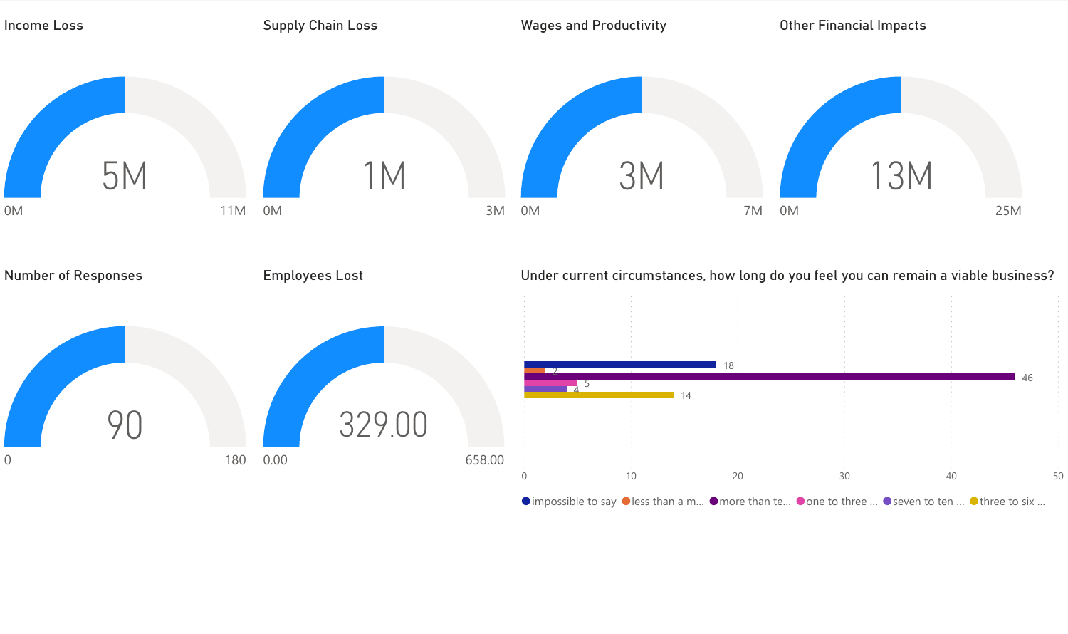

 $\bullet$  impossible to say  $\bullet$  less than a m...  $\bullet$  more than te...  $\bullet$  one to three ...  $\bullet$  seven to ten ...  $\bullet$  three to six ...